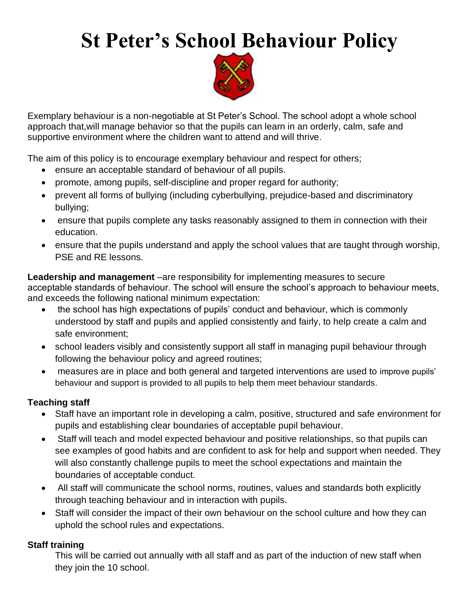# **St Peter's School Behaviour Policy**



Exemplary behaviour is a non-negotiable at St Peter's School. The school adopt a whole school approach that,will manage behavior so that the pupils can learn in an orderly, calm, safe and supportive environment where the children want to attend and will thrive.

The aim of this policy is to encourage exemplary behaviour and respect for others;

- ensure an acceptable standard of behaviour of all pupils.
- promote, among pupils, self-discipline and proper regard for authority;
- prevent all forms of bullying (including cyberbullying, prejudice-based and discriminatory bullying;
- ensure that pupils complete any tasks reasonably assigned to them in connection with their education.
- ensure that the pupils understand and apply the school values that are taught through worship, PSE and RE lessons.

**Leadership and management** –are responsibility for implementing measures to secure acceptable standards of behaviour. The school will ensure the school's approach to behaviour meets, and exceeds the following national minimum expectation:

- the school has high expectations of pupils' conduct and behaviour, which is commonly understood by staff and pupils and applied consistently and fairly, to help create a calm and safe environment;
- school leaders visibly and consistently support all staff in managing pupil behaviour through following the behaviour policy and agreed routines;
- measures are in place and both general and targeted interventions are used to improve pupils' behaviour and support is provided to all pupils to help them meet behaviour standards.

# **Teaching staff**

- Staff have an important role in developing a calm, positive, structured and safe environment for pupils and establishing clear boundaries of acceptable pupil behaviour.
- Staff will teach and model expected behaviour and positive relationships, so that pupils can see examples of good habits and are confident to ask for help and support when needed. They will also constantly challenge pupils to meet the school expectations and maintain the boundaries of acceptable conduct.
- All staff will communicate the school norms, routines, values and standards both explicitly through teaching behaviour and in interaction with pupils.
- Staff will consider the impact of their own behaviour on the school culture and how they can uphold the school rules and expectations.

# **Staff training**

This will be carried out annually with all staff and as part of the induction of new staff when they join the 10 school.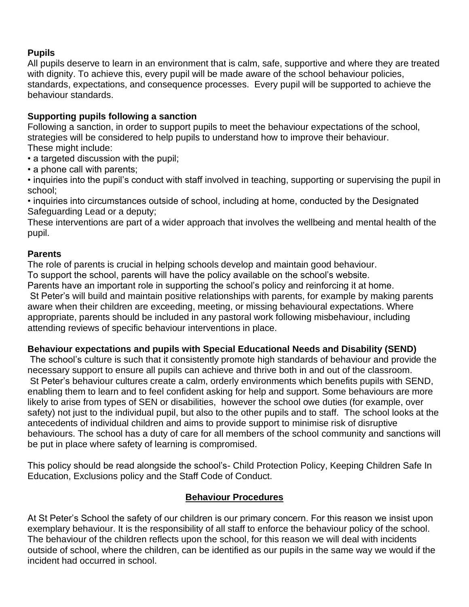# **Pupils**

All pupils deserve to learn in an environment that is calm, safe, supportive and where they are treated with dignity. To achieve this, every pupil will be made aware of the school behaviour policies, standards, expectations, and consequence processes. Every pupil will be supported to achieve the behaviour standards.

# **Supporting pupils following a sanction**

Following a sanction, in order to support pupils to meet the behaviour expectations of the school, strategies will be considered to help pupils to understand how to improve their behaviour. These might include:

- a targeted discussion with the pupil;
- a phone call with parents;

• inquiries into the pupil's conduct with staff involved in teaching, supporting or supervising the pupil in school;

• inquiries into circumstances outside of school, including at home, conducted by the Designated Safeguarding Lead or a deputy;

These interventions are part of a wider approach that involves the wellbeing and mental health of the pupil.

#### **Parents**

The role of parents is crucial in helping schools develop and maintain good behaviour. To support the school, parents will have the policy available on the school's website. Parents have an important role in supporting the school's policy and reinforcing it at home.

St Peter's will build and maintain positive relationships with parents, for example by making parents aware when their children are exceeding, meeting, or missing behavioural expectations. Where appropriate, parents should be included in any pastoral work following misbehaviour, including attending reviews of specific behaviour interventions in place.

# **Behaviour expectations and pupils with Special Educational Needs and Disability (SEND)**

The school's culture is such that it consistently promote high standards of behaviour and provide the necessary support to ensure all pupils can achieve and thrive both in and out of the classroom. St Peter's behaviour cultures create a calm, orderly environments which benefits pupils with SEND, enabling them to learn and to feel confident asking for help and support. Some behaviours are more likely to arise from types of SEN or disabilities, however the school owe duties (for example, over safety) not just to the individual pupil, but also to the other pupils and to staff. The school looks at the antecedents of individual children and aims to provide support to minimise risk of disruptive behaviours. The school has a duty of care for all members of the school community and sanctions will be put in place where safety of learning is compromised.

This policy should be read alongside the school's- Child Protection Policy, Keeping Children Safe In Education, Exclusions policy and the Staff Code of Conduct.

#### **Behaviour Procedures**

At St Peter's School the safety of our children is our primary concern. For this reason we insist upon exemplary behaviour. It is the responsibility of all staff to enforce the behaviour policy of the school. The behaviour of the children reflects upon the school, for this reason we will deal with incidents outside of school, where the children, can be identified as our pupils in the same way we would if the incident had occurred in school.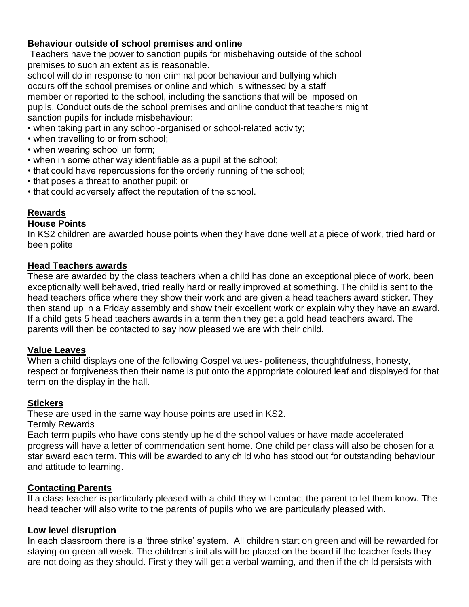#### **Behaviour outside of school premises and online**

Teachers have the power to sanction pupils for misbehaving outside of the school premises to such an extent as is reasonable.

school will do in response to non-criminal poor behaviour and bullying which occurs off the school premises or online and which is witnessed by a staff member or reported to the school, including the sanctions that will be imposed on pupils. Conduct outside the school premises and online conduct that teachers might sanction pupils for include misbehaviour:

- when taking part in any school-organised or school-related activity;
- when travelling to or from school;
- when wearing school uniform;
- when in some other way identifiable as a pupil at the school;
- that could have repercussions for the orderly running of the school;
- that poses a threat to another pupil; or
- that could adversely affect the reputation of the school.

#### **Rewards**

#### **House Points**

In KS2 children are awarded house points when they have done well at a piece of work, tried hard or been polite

#### **Head Teachers awards**

These are awarded by the class teachers when a child has done an exceptional piece of work, been exceptionally well behaved, tried really hard or really improved at something. The child is sent to the head teachers office where they show their work and are given a head teachers award sticker. They then stand up in a Friday assembly and show their excellent work or explain why they have an award. If a child gets 5 head teachers awards in a term then they get a gold head teachers award. The parents will then be contacted to say how pleased we are with their child.

#### **Value Leaves**

When a child displays one of the following Gospel values- politeness, thoughtfulness, honesty, respect or forgiveness then their name is put onto the appropriate coloured leaf and displayed for that term on the display in the hall.

#### **Stickers**

These are used in the same way house points are used in KS2.

Termly Rewards

Each term pupils who have consistently up held the school values or have made accelerated progress will have a letter of commendation sent home. One child per class will also be chosen for a star award each term. This will be awarded to any child who has stood out for outstanding behaviour and attitude to learning.

# **Contacting Parents**

If a class teacher is particularly pleased with a child they will contact the parent to let them know. The head teacher will also write to the parents of pupils who we are particularly pleased with.

#### **Low level disruption**

In each classroom there is a 'three strike' system. All children start on green and will be rewarded for staying on green all week. The children's initials will be placed on the board if the teacher feels they are not doing as they should. Firstly they will get a verbal warning, and then if the child persists with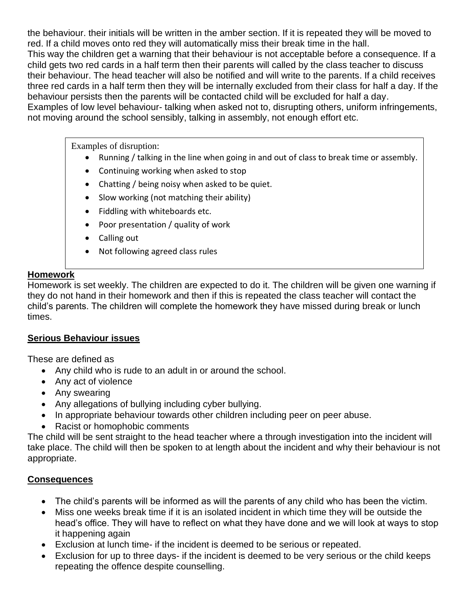the behaviour. their initials will be written in the amber section. If it is repeated they will be moved to red. If a child moves onto red they will automatically miss their break time in the hall.

This way the children get a warning that their behaviour is not acceptable before a consequence. If a child gets two red cards in a half term then their parents will called by the class teacher to discuss their behaviour. The head teacher will also be notified and will write to the parents. If a child receives three red cards in a half term then they will be internally excluded from their class for half a day. If the behaviour persists then the parents will be contacted child will be excluded for half a day.

Examples of low level behaviour- talking when asked not to, disrupting others, uniform infringements, not moving around the school sensibly, talking in assembly, not enough effort etc.

Examples of disruption:

- Running / talking in the line when going in and out of class to break time or assembly.
- Continuing working when asked to stop
- Chatting / being noisy when asked to be quiet.
- Slow working (not matching their ability)
- Fiddling with whiteboards etc.
- Poor presentation / quality of work
- Calling out
- Not following agreed class rules

#### **Homework**

Homework is set weekly. The children are expected to do it. The children will be given one warning if they do not hand in their homework and then if this is repeated the class teacher will contact the child's parents. The children will complete the homework they have missed during break or lunch times.

#### **Serious Behaviour issues**

These are defined as

- Any child who is rude to an adult in or around the school.
- Any act of violence
- Any swearing
- Any allegations of bullying including cyber bullying.
- In appropriate behaviour towards other children including peer on peer abuse.
- Racist or homophobic comments

The child will be sent straight to the head teacher where a through investigation into the incident will take place. The child will then be spoken to at length about the incident and why their behaviour is not appropriate.

# **Consequences**

- The child's parents will be informed as will the parents of any child who has been the victim.
- Miss one weeks break time if it is an isolated incident in which time they will be outside the head's office. They will have to reflect on what they have done and we will look at ways to stop it happening again
- Exclusion at lunch time- if the incident is deemed to be serious or repeated.
- Exclusion for up to three days- if the incident is deemed to be very serious or the child keeps repeating the offence despite counselling.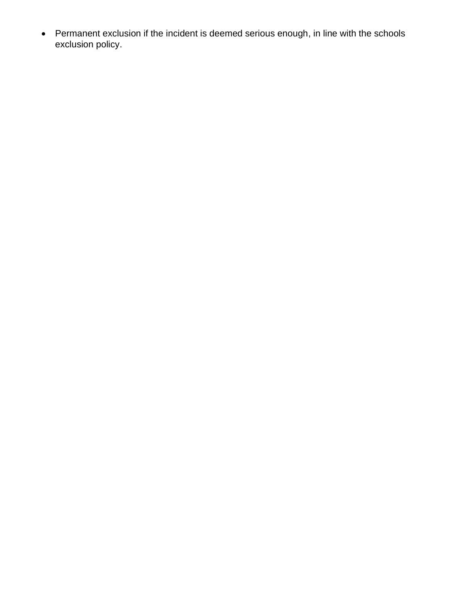• Permanent exclusion if the incident is deemed serious enough, in line with the schools exclusion policy.